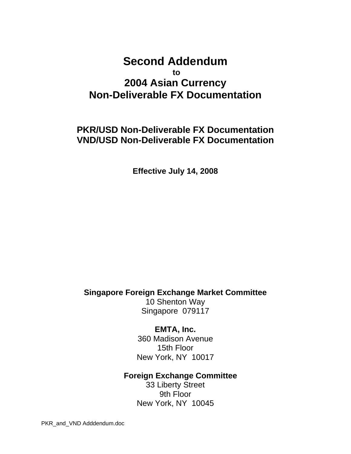# **Second Addendum to 2004 Asian Currency Non-Deliverable FX Documentation**

# **PKR/USD Non-Deliverable FX Documentation VND/USD Non-Deliverable FX Documentation**

**Effective July 14, 2008** 

# **Singapore Foreign Exchange Market Committee**

10 Shenton Way Singapore 079117

**EMTA, Inc.**  360 Madison Avenue 15th Floor New York, NY 10017

# **Foreign Exchange Committee**

33 Liberty Street 9th Floor New York, NY 10045

PKR\_and\_VND Adddendum.doc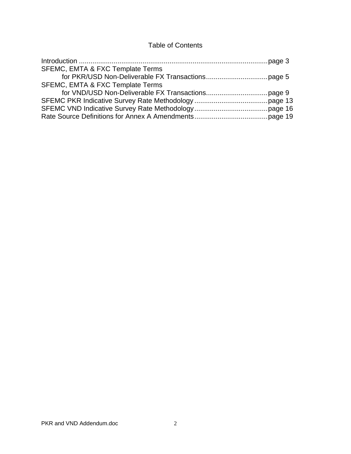# Table of Contents

| SFEMC, EMTA & FXC Template Terms            |  |
|---------------------------------------------|--|
|                                             |  |
| <b>SFEMC, EMTA &amp; FXC Template Terms</b> |  |
|                                             |  |
|                                             |  |
|                                             |  |
|                                             |  |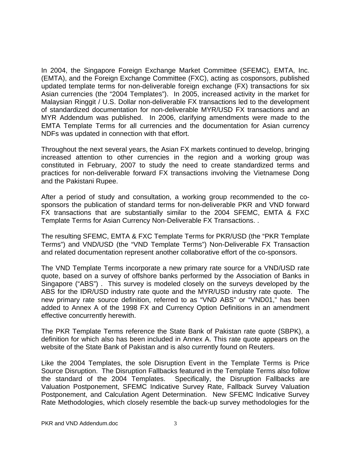In 2004, the Singapore Foreign Exchange Market Committee (SFEMC), EMTA, Inc. (EMTA), and the Foreign Exchange Committee (FXC), acting as cosponsors, published updated template terms for non-deliverable foreign exchange (FX) transactions for six Asian currencies (the "2004 Templates"). In 2005, increased activity in the market for Malaysian Ringgit / U.S. Dollar non-deliverable FX transactions led to the development of standardized documentation for non-deliverable MYR/USD FX transactions and an MYR Addendum was published. In 2006, clarifying amendments were made to the EMTA Template Terms for all currencies and the documentation for Asian currency NDFs was updated in connection with that effort.

Throughout the next several years, the Asian FX markets continued to develop, bringing increased attention to other currencies in the region and a working group was constituted in February, 2007 to study the need to create standardized terms and practices for non-deliverable forward FX transactions involving the Vietnamese Dong and the Pakistani Rupee.

After a period of study and consultation, a working group recommended to the cosponsors the publication of standard terms for non-deliverable PKR and VND forward FX transactions that are substantially similar to the 2004 SFEMC, EMTA & FXC Template Terms for Asian Currency Non-Deliverable FX Transactions. .

The resulting SFEMC, EMTA & FXC Template Terms for PKR/USD (the "PKR Template Terms") and VND/USD (the "VND Template Terms") Non-Deliverable FX Transaction and related documentation represent another collaborative effort of the co-sponsors.

The VND Template Terms incorporate a new primary rate source for a VND/USD rate quote, based on a survey of offshore banks performed by the Association of Banks in Singapore ("ABS") . This survey is modeled closely on the surveys developed by the ABS for the IDR/USD industry rate quote and the MYR/USD industry rate quote. The new primary rate source definition, referred to as "VND ABS" or "VND01," has been added to Annex A of the 1998 FX and Currency Option Definitions in an amendment effective concurrently herewith.

The PKR Template Terms reference the State Bank of Pakistan rate quote (SBPK), a definition for which also has been included in Annex A. This rate quote appears on the website of the State Bank of Pakistan and is also currently found on Reuters.

Like the 2004 Templates, the sole Disruption Event in the Template Terms is Price Source Disruption. The Disruption Fallbacks featured in the Template Terms also follow the standard of the 2004 Templates. Specifically, the Disruption Fallbacks are Valuation Postponement, SFEMC Indicative Survey Rate, Fallback Survey Valuation Postponement, and Calculation Agent Determination. New SFEMC Indicative Survey Rate Methodologies, which closely resemble the back-up survey methodologies for the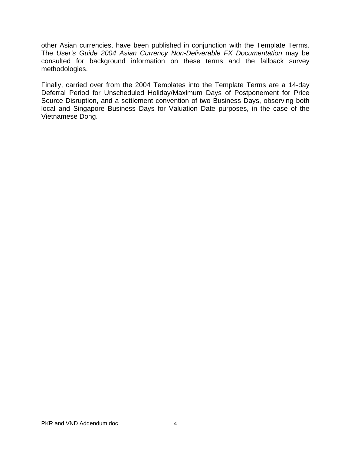other Asian currencies, have been published in conjunction with the Template Terms. The *User's Guide 2004 Asian Currency Non-Deliverable FX Documentation* may be consulted for background information on these terms and the fallback survey methodologies.

Finally, carried over from the 2004 Templates into the Template Terms are a 14-day Deferral Period for Unscheduled Holiday/Maximum Days of Postponement for Price Source Disruption, and a settlement convention of two Business Days, observing both local and Singapore Business Days for Valuation Date purposes, in the case of the Vietnamese Dong.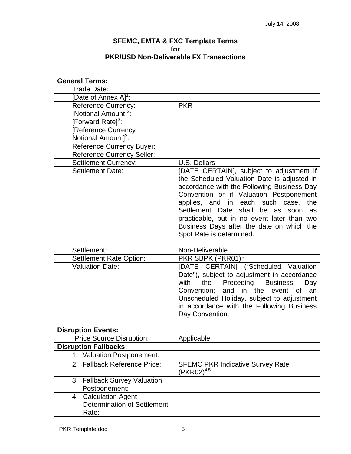#### **SFEMC, EMTA & FXC Template Terms for PKR/USD Non-Deliverable FX Transactions**

| <b>General Terms:</b>                         |                                                                                                                                                                                                                                                                                                                                                                                                    |
|-----------------------------------------------|----------------------------------------------------------------------------------------------------------------------------------------------------------------------------------------------------------------------------------------------------------------------------------------------------------------------------------------------------------------------------------------------------|
| Trade Date:                                   |                                                                                                                                                                                                                                                                                                                                                                                                    |
| [Date of Annex A] <sup>1</sup> :              |                                                                                                                                                                                                                                                                                                                                                                                                    |
| <b>Reference Currency:</b>                    | <b>PKR</b>                                                                                                                                                                                                                                                                                                                                                                                         |
| [Notional Amount] <sup>2</sup> :              |                                                                                                                                                                                                                                                                                                                                                                                                    |
| [Forward Rate] <sup>2</sup> :                 |                                                                                                                                                                                                                                                                                                                                                                                                    |
| Reference Currency                            |                                                                                                                                                                                                                                                                                                                                                                                                    |
| Notional Amount] <sup>2</sup> :               |                                                                                                                                                                                                                                                                                                                                                                                                    |
| Reference Currency Buyer:                     |                                                                                                                                                                                                                                                                                                                                                                                                    |
| <b>Reference Currency Seller:</b>             |                                                                                                                                                                                                                                                                                                                                                                                                    |
| <b>Settlement Currency:</b>                   | U.S. Dollars                                                                                                                                                                                                                                                                                                                                                                                       |
| <b>Settlement Date:</b>                       | [DATE CERTAIN], subject to adjustment if<br>the Scheduled Valuation Date is adjusted in<br>accordance with the Following Business Day<br>Convention or if Valuation Postponement<br>applies, and in each such case,<br>the<br>Settlement Date shall<br>be as<br>soon<br>as<br>practicable, but in no event later than two<br>Business Days after the date on which the<br>Spot Rate is determined. |
| Settlement:                                   | Non-Deliverable                                                                                                                                                                                                                                                                                                                                                                                    |
| Settlement Rate Option:                       | PKR SBPK $(PKR01)^3$                                                                                                                                                                                                                                                                                                                                                                               |
| <b>Valuation Date:</b>                        | [DATE CERTAIN] ("Scheduled Valuation<br>Date"), subject to adjustment in accordance<br>Preceding<br>with<br><b>Business</b><br>the<br>Day<br>Convention; and in the event of<br>an<br>Unscheduled Holiday, subject to adjustment<br>in accordance with the Following Business<br>Day Convention.                                                                                                   |
| <b>Disruption Events:</b>                     |                                                                                                                                                                                                                                                                                                                                                                                                    |
| <b>Price Source Disruption:</b>               | Applicable                                                                                                                                                                                                                                                                                                                                                                                         |
| <b>Disruption Fallbacks:</b>                  |                                                                                                                                                                                                                                                                                                                                                                                                    |
| <b>Valuation Postponement:</b><br>1.          |                                                                                                                                                                                                                                                                                                                                                                                                    |
| 2. Fallback Reference Price:                  | <b>SFEMC PKR Indicative Survey Rate</b><br>$(PKR02)^{4,5}$                                                                                                                                                                                                                                                                                                                                         |
| 3. Fallback Survey Valuation<br>Postponement: |                                                                                                                                                                                                                                                                                                                                                                                                    |
| 4. Calculation Agent                          |                                                                                                                                                                                                                                                                                                                                                                                                    |
| <b>Determination of Settlement</b><br>Rate:   |                                                                                                                                                                                                                                                                                                                                                                                                    |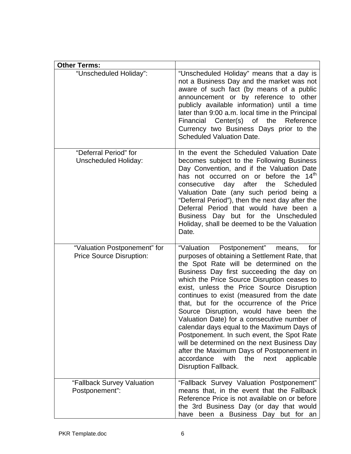| <b>Other Terms:</b>                                             |                                                                                                                                                                                                                                                                                                                                                                                                                                                                                                                                                                                                                                                                                                                                   |
|-----------------------------------------------------------------|-----------------------------------------------------------------------------------------------------------------------------------------------------------------------------------------------------------------------------------------------------------------------------------------------------------------------------------------------------------------------------------------------------------------------------------------------------------------------------------------------------------------------------------------------------------------------------------------------------------------------------------------------------------------------------------------------------------------------------------|
| "Unscheduled Holiday":                                          | "Unscheduled Holiday" means that a day is<br>not a Business Day and the market was not<br>aware of such fact (by means of a public<br>announcement or by reference to other<br>publicly available information) until a time<br>later than 9:00 a.m. local time in the Principal<br>Financial Center(s) of the Reference<br>Currency two Business Days prior to the<br><b>Scheduled Valuation Date.</b>                                                                                                                                                                                                                                                                                                                            |
| "Deferral Period" for<br><b>Unscheduled Holiday:</b>            | In the event the Scheduled Valuation Date<br>becomes subject to the Following Business<br>Day Convention, and if the Valuation Date<br>has not occurred on or before the 14 <sup>th</sup><br>consecutive day after<br>the Scheduled<br>Valuation Date (any such period being a<br>"Deferral Period"), then the next day after the<br>Deferral Period that would have been a<br>Business Day but for the Unscheduled<br>Holiday, shall be deemed to be the Valuation<br>Date.                                                                                                                                                                                                                                                      |
| "Valuation Postponement" for<br><b>Price Source Disruption:</b> | "Valuation Postponement"<br>means,<br>for<br>purposes of obtaining a Settlement Rate, that<br>the Spot Rate will be determined on the<br>Business Day first succeeding the day on<br>which the Price Source Disruption ceases to<br>exist, unless the Price Source Disruption<br>continues to exist (measured from the date<br>that, but for the occurrence of the Price<br>Source Disruption, would have been the<br>Valuation Date) for a consecutive number of<br>calendar days equal to the Maximum Days of<br>Postponement. In such event, the Spot Rate<br>will be determined on the next Business Day<br>after the Maximum Days of Postponement in<br>accordance<br>with the<br>next<br>applicable<br>Disruption Fallback. |
| "Fallback Survey Valuation<br>Postponement":                    | "Fallback Survey Valuation Postponement"<br>means that, in the event that the Fallback<br>Reference Price is not available on or before<br>the 3rd Business Day (or day that would<br>have been a Business Day but for an                                                                                                                                                                                                                                                                                                                                                                                                                                                                                                         |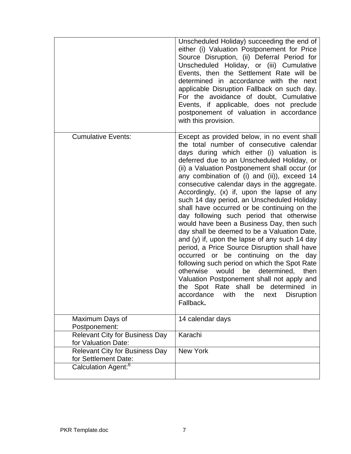|                                                                                                  | Unscheduled Holiday) succeeding the end of<br>either (i) Valuation Postponement for Price<br>Source Disruption, (ii) Deferral Period for<br>Unscheduled Holiday, or (iii) Cumulative<br>Events, then the Settlement Rate will be<br>determined in accordance with the next<br>applicable Disruption Fallback on such day.<br>For the avoidance of doubt, Cumulative<br>Events, if applicable, does not preclude<br>postponement of valuation in accordance<br>with this provision.                                                                                                                                                                                                                                                                                                                                                                                                                                                                                                                                            |
|--------------------------------------------------------------------------------------------------|-------------------------------------------------------------------------------------------------------------------------------------------------------------------------------------------------------------------------------------------------------------------------------------------------------------------------------------------------------------------------------------------------------------------------------------------------------------------------------------------------------------------------------------------------------------------------------------------------------------------------------------------------------------------------------------------------------------------------------------------------------------------------------------------------------------------------------------------------------------------------------------------------------------------------------------------------------------------------------------------------------------------------------|
| <b>Cumulative Events:</b>                                                                        | Except as provided below, in no event shall<br>the total number of consecutive calendar<br>days during which either (i) valuation is<br>deferred due to an Unscheduled Holiday, or<br>(ii) a Valuation Postponement shall occur (or<br>any combination of (i) and (ii)), exceed 14<br>consecutive calendar days in the aggregate.<br>Accordingly, (x) if, upon the lapse of any<br>such 14 day period, an Unscheduled Holiday<br>shall have occurred or be continuing on the<br>day following such period that otherwise<br>would have been a Business Day, then such<br>day shall be deemed to be a Valuation Date,<br>and (y) if, upon the lapse of any such 14 day<br>period, a Price Source Disruption shall have<br>occurred or be continuing on the day<br>following such period on which the Spot Rate<br>otherwise<br>would<br>determined,<br>be<br>then<br>Valuation Postponement shall not apply and<br>the Spot Rate shall be determined in<br>accordance<br>with<br>the<br>next<br><b>Disruption</b><br>Fallback. |
| Maximum Days of<br>Postponement:                                                                 | 14 calendar days                                                                                                                                                                                                                                                                                                                                                                                                                                                                                                                                                                                                                                                                                                                                                                                                                                                                                                                                                                                                              |
| <b>Relevant City for Business Day</b><br>for Valuation Date:                                     | Karachi                                                                                                                                                                                                                                                                                                                                                                                                                                                                                                                                                                                                                                                                                                                                                                                                                                                                                                                                                                                                                       |
| <b>Relevant City for Business Day</b><br>for Settlement Date:<br>Calculation Agent: <sup>6</sup> | New York                                                                                                                                                                                                                                                                                                                                                                                                                                                                                                                                                                                                                                                                                                                                                                                                                                                                                                                                                                                                                      |
|                                                                                                  |                                                                                                                                                                                                                                                                                                                                                                                                                                                                                                                                                                                                                                                                                                                                                                                                                                                                                                                                                                                                                               |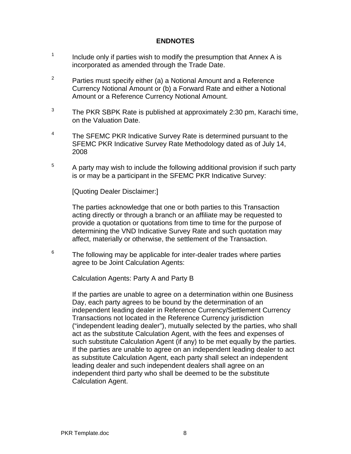### **ENDNOTES**

- 1 Include only if parties wish to modify the presumption that Annex A is incorporated as amended through the Trade Date.
- $2^2$  Parties must specify either (a) a Notional Amount and a Reference Currency Notional Amount or (b) a Forward Rate and either a Notional Amount or a Reference Currency Notional Amount.
- $3$  The PKR SBPK Rate is published at approximately 2:30 pm, Karachi time, on the Valuation Date.
- $4$  The SFEMC PKR Indicative Survey Rate is determined pursuant to the SFEMC PKR Indicative Survey Rate Methodology dated as of July 14, 2008
- $5$  A party may wish to include the following additional provision if such party is or may be a participant in the SFEMC PKR Indicative Survey:

[Quoting Dealer Disclaimer:]

The parties acknowledge that one or both parties to this Transaction acting directly or through a branch or an affiliate may be requested to provide a quotation or quotations from time to time for the purpose of determining the VND Indicative Survey Rate and such quotation may affect, materially or otherwise, the settlement of the Transaction.

 $6$  The following may be applicable for inter-dealer trades where parties agree to be Joint Calculation Agents:

Calculation Agents: Party A and Party B

If the parties are unable to agree on a determination within one Business Day, each party agrees to be bound by the determination of an independent leading dealer in Reference Currency/Settlement Currency Transactions not located in the Reference Currency jurisdiction ("independent leading dealer"), mutually selected by the parties, who shall act as the substitute Calculation Agent, with the fees and expenses of such substitute Calculation Agent (if any) to be met equally by the parties. If the parties are unable to agree on an independent leading dealer to act as substitute Calculation Agent, each party shall select an independent leading dealer and such independent dealers shall agree on an independent third party who shall be deemed to be the substitute Calculation Agent.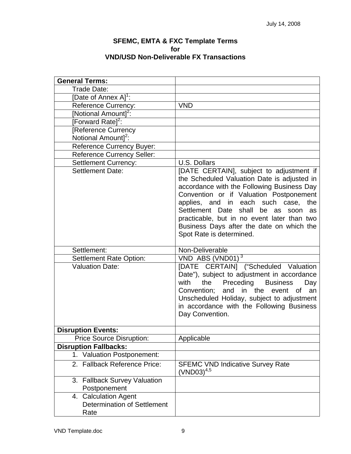#### **SFEMC, EMTA & FXC Template Terms for VND/USD Non-Deliverable FX Transactions**

| <b>General Terms:</b>                                              |                                                                                                                                                                                                                                                                                                                                                                                                 |
|--------------------------------------------------------------------|-------------------------------------------------------------------------------------------------------------------------------------------------------------------------------------------------------------------------------------------------------------------------------------------------------------------------------------------------------------------------------------------------|
| Trade Date:                                                        |                                                                                                                                                                                                                                                                                                                                                                                                 |
| [Date of Annex A] <sup>1</sup> :                                   |                                                                                                                                                                                                                                                                                                                                                                                                 |
| <b>Reference Currency:</b>                                         | <b>VND</b>                                                                                                                                                                                                                                                                                                                                                                                      |
| [Notional Amount] <sup>2</sup> :                                   |                                                                                                                                                                                                                                                                                                                                                                                                 |
|                                                                    |                                                                                                                                                                                                                                                                                                                                                                                                 |
| [Forward Rate] <sup>2</sup> :                                      |                                                                                                                                                                                                                                                                                                                                                                                                 |
| Reference Currency                                                 |                                                                                                                                                                                                                                                                                                                                                                                                 |
| Notional Amount] <sup>2</sup> :                                    |                                                                                                                                                                                                                                                                                                                                                                                                 |
| Reference Currency Buyer:                                          |                                                                                                                                                                                                                                                                                                                                                                                                 |
| <b>Reference Currency Seller:</b>                                  |                                                                                                                                                                                                                                                                                                                                                                                                 |
| <b>Settlement Currency:</b>                                        | U.S. Dollars                                                                                                                                                                                                                                                                                                                                                                                    |
| <b>Settlement Date:</b>                                            | [DATE CERTAIN], subject to adjustment if<br>the Scheduled Valuation Date is adjusted in<br>accordance with the Following Business Day<br>Convention or if Valuation Postponement<br>applies, and in each such case,<br>the<br>Settlement Date shall<br>be as soon<br>as<br>practicable, but in no event later than two<br>Business Days after the date on which the<br>Spot Rate is determined. |
| Settlement:                                                        | Non-Deliverable                                                                                                                                                                                                                                                                                                                                                                                 |
| <b>Settlement Rate Option:</b>                                     | $VND$ ABS (VND01) <sup>3</sup>                                                                                                                                                                                                                                                                                                                                                                  |
| <b>Valuation Date:</b>                                             | [DATE CERTAIN] ("Scheduled Valuation<br>Date"), subject to adjustment in accordance<br>with<br>Preceding<br><b>Business</b><br>the<br>Day<br>Convention; and in the event of<br>an<br>Unscheduled Holiday, subject to adjustment<br>in accordance with the Following Business<br>Day Convention.                                                                                                |
| <b>Disruption Events:</b>                                          |                                                                                                                                                                                                                                                                                                                                                                                                 |
| <b>Price Source Disruption:</b>                                    | Applicable                                                                                                                                                                                                                                                                                                                                                                                      |
| <b>Disruption Fallbacks:</b>                                       |                                                                                                                                                                                                                                                                                                                                                                                                 |
| <b>Valuation Postponement:</b><br>$1_{\cdot}$                      |                                                                                                                                                                                                                                                                                                                                                                                                 |
| 2. Fallback Reference Price:                                       | <b>SFEMC VND Indicative Survey Rate</b><br>$(VND03)^{4,5}$                                                                                                                                                                                                                                                                                                                                      |
| 3. Fallback Survey Valuation<br>Postponement                       |                                                                                                                                                                                                                                                                                                                                                                                                 |
| 4. Calculation Agent<br><b>Determination of Settlement</b><br>Rate |                                                                                                                                                                                                                                                                                                                                                                                                 |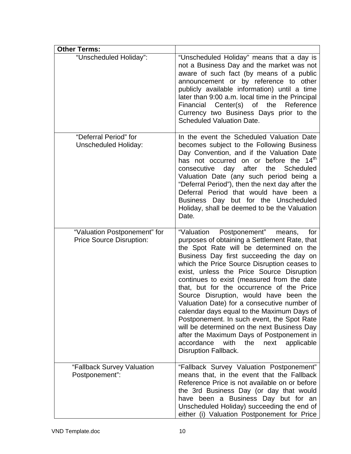| <b>Other Terms:</b>                                             |                                                                                                                                                                                                                                                                                                                                                                                                                                                                                                                                                                                                                                                                                                                                      |
|-----------------------------------------------------------------|--------------------------------------------------------------------------------------------------------------------------------------------------------------------------------------------------------------------------------------------------------------------------------------------------------------------------------------------------------------------------------------------------------------------------------------------------------------------------------------------------------------------------------------------------------------------------------------------------------------------------------------------------------------------------------------------------------------------------------------|
| "Unscheduled Holiday":                                          | "Unscheduled Holiday" means that a day is<br>not a Business Day and the market was not<br>aware of such fact (by means of a public<br>announcement or by reference to other<br>publicly available information) until a time<br>later than 9:00 a.m. local time in the Principal<br>Financial Center(s) of the<br>Reference<br>Currency two Business Days prior to the<br><b>Scheduled Valuation Date.</b>                                                                                                                                                                                                                                                                                                                            |
| "Deferral Period" for<br>Unscheduled Holiday:                   | In the event the Scheduled Valuation Date<br>becomes subject to the Following Business<br>Day Convention, and if the Valuation Date<br>has not occurred on or before the 14 <sup>th</sup><br>after<br>day<br>the<br>Scheduled<br>consecutive<br>Valuation Date (any such period being a<br>"Deferral Period"), then the next day after the<br>Deferral Period that would have been a<br>Business Day but for the Unscheduled<br>Holiday, shall be deemed to be the Valuation<br>Date.                                                                                                                                                                                                                                                |
| "Valuation Postponement" for<br><b>Price Source Disruption:</b> | "Valuation Postponement"<br>means,<br>for<br>purposes of obtaining a Settlement Rate, that<br>the Spot Rate will be determined on the<br>Business Day first succeeding the day on<br>which the Price Source Disruption ceases to<br>exist, unless the Price Source Disruption<br>continues to exist (measured from the date<br>that, but for the occurrence of the Price<br>Source Disruption, would have been the<br>Valuation Date) for a consecutive number of<br>calendar days equal to the Maximum Days of<br>Postponement. In such event, the Spot Rate<br>will be determined on the next Business Day<br>after the Maximum Days of Postponement in<br>accordance<br>with<br>the<br>next<br>applicable<br>Disruption Fallback. |
| "Fallback Survey Valuation<br>Postponement":                    | "Fallback Survey Valuation Postponement"<br>means that, in the event that the Fallback<br>Reference Price is not available on or before<br>the 3rd Business Day (or day that would<br>have been a Business Day but for an<br>Unscheduled Holiday) succeeding the end of<br>either (i) Valuation Postponement for Price                                                                                                                                                                                                                                                                                                                                                                                                               |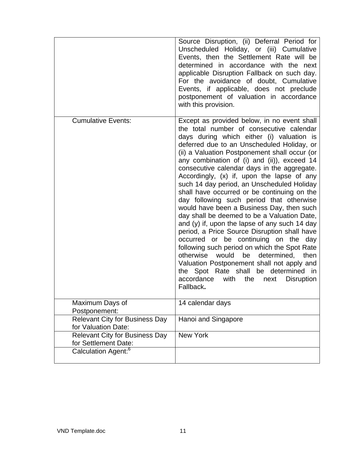|                                                               | Source Disruption, (ii) Deferral Period for<br>Unscheduled Holiday, or (iii) Cumulative<br>Events, then the Settlement Rate will be<br>determined in accordance with the next<br>applicable Disruption Fallback on such day.<br>For the avoidance of doubt, Cumulative<br>Events, if applicable, does not preclude<br>postponement of valuation in accordance<br>with this provision.                                                                                                                                                                                                                                                                                                                                                                                                                                                                                                                                                                                                                                            |
|---------------------------------------------------------------|----------------------------------------------------------------------------------------------------------------------------------------------------------------------------------------------------------------------------------------------------------------------------------------------------------------------------------------------------------------------------------------------------------------------------------------------------------------------------------------------------------------------------------------------------------------------------------------------------------------------------------------------------------------------------------------------------------------------------------------------------------------------------------------------------------------------------------------------------------------------------------------------------------------------------------------------------------------------------------------------------------------------------------|
| <b>Cumulative Events:</b>                                     | Except as provided below, in no event shall<br>the total number of consecutive calendar<br>days during which either (i) valuation is<br>deferred due to an Unscheduled Holiday, or<br>(ii) a Valuation Postponement shall occur (or<br>any combination of (i) and (ii)), exceed 14<br>consecutive calendar days in the aggregate.<br>Accordingly, (x) if, upon the lapse of any<br>such 14 day period, an Unscheduled Holiday<br>shall have occurred or be continuing on the<br>day following such period that otherwise<br>would have been a Business Day, then such<br>day shall be deemed to be a Valuation Date,<br>and (y) if, upon the lapse of any such 14 day<br>period, a Price Source Disruption shall have<br>occurred or be continuing on the<br>day<br>following such period on which the Spot Rate<br>would<br>be<br>determined, then<br>otherwise<br>Valuation Postponement shall not apply and<br>the Spot Rate shall<br>be determined in<br>the<br>accordance<br>with<br>next<br><b>Disruption</b><br>Fallback. |
| Maximum Days of<br>Postponement:                              | 14 calendar days                                                                                                                                                                                                                                                                                                                                                                                                                                                                                                                                                                                                                                                                                                                                                                                                                                                                                                                                                                                                                 |
| <b>Relevant City for Business Day</b><br>for Valuation Date:  | Hanoi and Singapore                                                                                                                                                                                                                                                                                                                                                                                                                                                                                                                                                                                                                                                                                                                                                                                                                                                                                                                                                                                                              |
| <b>Relevant City for Business Day</b><br>for Settlement Date: | <b>New York</b>                                                                                                                                                                                                                                                                                                                                                                                                                                                                                                                                                                                                                                                                                                                                                                                                                                                                                                                                                                                                                  |
| Calculation Agent: <sup>6</sup>                               |                                                                                                                                                                                                                                                                                                                                                                                                                                                                                                                                                                                                                                                                                                                                                                                                                                                                                                                                                                                                                                  |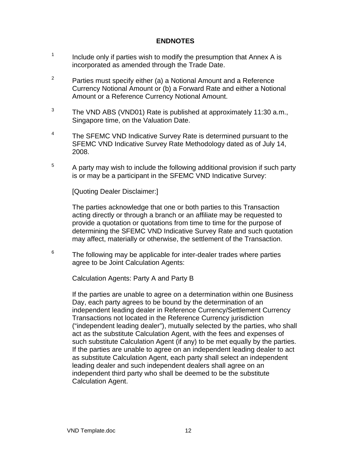### **ENDNOTES**

- 1 Include only if parties wish to modify the presumption that Annex A is incorporated as amended through the Trade Date.
- $2^2$  Parties must specify either (a) a Notional Amount and a Reference Currency Notional Amount or (b) a Forward Rate and either a Notional Amount or a Reference Currency Notional Amount.
- $3$  The VND ABS (VND01) Rate is published at approximately 11:30 a.m., Singapore time, on the Valuation Date.
- $4 7$  The SFEMC VND Indicative Survey Rate is determined pursuant to the SFEMC VND Indicative Survey Rate Methodology dated as of July 14, 2008.
- $5$  A party may wish to include the following additional provision if such party is or may be a participant in the SFEMC VND Indicative Survey:

[Quoting Dealer Disclaimer:]

The parties acknowledge that one or both parties to this Transaction acting directly or through a branch or an affiliate may be requested to provide a quotation or quotations from time to time for the purpose of determining the SFEMC VND Indicative Survey Rate and such quotation may affect, materially or otherwise, the settlement of the Transaction.

 $6$  The following may be applicable for inter-dealer trades where parties agree to be Joint Calculation Agents:

Calculation Agents: Party A and Party B

If the parties are unable to agree on a determination within one Business Day, each party agrees to be bound by the determination of an independent leading dealer in Reference Currency/Settlement Currency Transactions not located in the Reference Currency jurisdiction ("independent leading dealer"), mutually selected by the parties, who shall act as the substitute Calculation Agent, with the fees and expenses of such substitute Calculation Agent (if any) to be met equally by the parties. If the parties are unable to agree on an independent leading dealer to act as substitute Calculation Agent, each party shall select an independent leading dealer and such independent dealers shall agree on an independent third party who shall be deemed to be the substitute Calculation Agent.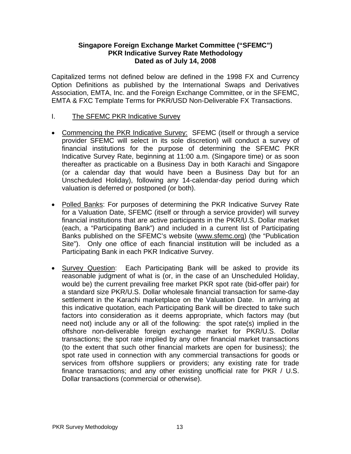#### **Singapore Foreign Exchange Market Committee ("SFEMC") PKR Indicative Survey Rate Methodology Dated as of July 14, 2008**

Capitalized terms not defined below are defined in the 1998 FX and Currency Option Definitions as published by the International Swaps and Derivatives Association, EMTA, Inc. and the Foreign Exchange Committee, or in the SFEMC, EMTA & FXC Template Terms for PKR/USD Non-Deliverable FX Transactions.

- I. The SFEMC PKR Indicative Survey
- Commencing the PKR Indicative Survey: SFEMC (itself or through a service provider SFEMC will select in its sole discretion) will conduct a survey of financial institutions for the purpose of determining the SFEMC PKR Indicative Survey Rate, beginning at 11:00 a.m. (Singapore time) or as soon thereafter as practicable on a Business Day in both Karachi and Singapore (or a calendar day that would have been a Business Day but for an Unscheduled Holiday), following any 14-calendar-day period during which valuation is deferred or postponed (or both).
- Polled Banks: For purposes of determining the PKR Indicative Survey Rate for a Valuation Date, SFEMC (itself or through a service provider) will survey financial institutions that are active participants in the PKR/U.S. Dollar market (each, a "Participating Bank") and included in a current list of Participating Banks published on the SFEMC's website ([www.sfemc.org](http://www.sfemc.org/)) (the "Publication Site"). Only one office of each financial institution will be included as a Participating Bank in each PKR Indicative Survey.
- Survey Question: Each Participating Bank will be asked to provide its reasonable judgment of what is (or, in the case of an Unscheduled Holiday, would be) the current prevailing free market PKR spot rate (bid-offer pair) for a standard size PKR/U.S. Dollar wholesale financial transaction for same-day settlement in the Karachi marketplace on the Valuation Date. In arriving at this indicative quotation, each Participating Bank will be directed to take such factors into consideration as it deems appropriate, which factors may (but need not) include any or all of the following: the spot rate(s) implied in the offshore non-deliverable foreign exchange market for PKR/U.S. Dollar transactions; the spot rate implied by any other financial market transactions (to the extent that such other financial markets are open for business); the spot rate used in connection with any commercial transactions for goods or services from offshore suppliers or providers; any existing rate for trade finance transactions; and any other existing unofficial rate for PKR / U.S. Dollar transactions (commercial or otherwise).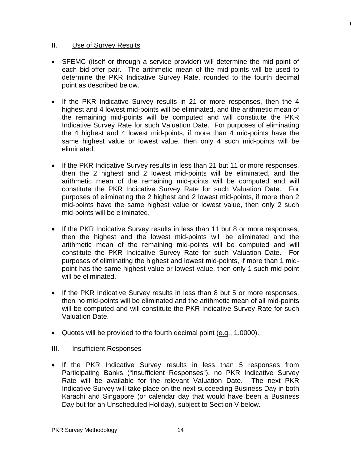#### II. Use of Survey Results

• SFEMC (itself or through a service provider) will determine the mid-point of each bid-offer pair. The arithmetic mean of the mid-points will be used to determine the PKR Indicative Survey Rate, rounded to the fourth decimal point as described below.

 $\mathbf$ 

- If the PKR Indicative Survey results in 21 or more responses, then the 4 highest and 4 lowest mid-points will be eliminated, and the arithmetic mean of the remaining mid-points will be computed and will constitute the PKR Indicative Survey Rate for such Valuation Date. For purposes of eliminating the 4 highest and 4 lowest mid-points, if more than 4 mid-points have the same highest value or lowest value, then only 4 such mid-points will be eliminated.
- If the PKR Indicative Survey results in less than 21 but 11 or more responses, then the 2 highest and 2 lowest mid-points will be eliminated, and the arithmetic mean of the remaining mid-points will be computed and will constitute the PKR Indicative Survey Rate for such Valuation Date. For purposes of eliminating the 2 highest and 2 lowest mid-points, if more than 2 mid-points have the same highest value or lowest value, then only 2 such mid-points will be eliminated.
- If the PKR Indicative Survey results in less than 11 but 8 or more responses, then the highest and the lowest mid-points will be eliminated and the arithmetic mean of the remaining mid-points will be computed and will constitute the PKR Indicative Survey Rate for such Valuation Date. For purposes of eliminating the highest and lowest mid-points, if more than 1 midpoint has the same highest value or lowest value, then only 1 such mid-point will be eliminated.
- If the PKR Indicative Survey results in less than 8 but 5 or more responses, then no mid-points will be eliminated and the arithmetic mean of all mid-points will be computed and will constitute the PKR Indicative Survey Rate for such Valuation Date.
- Quotes will be provided to the fourth decimal point  $(e.g., 1.0000)$ .

# III. Insufficient Responses

• If the PKR Indicative Survey results in less than 5 responses from Participating Banks ("Insufficient Responses"), no PKR Indicative Survey Rate will be available for the relevant Valuation Date. The next PKR Indicative Survey will take place on the next succeeding Business Day in both Karachi and Singapore (or calendar day that would have been a Business Day but for an Unscheduled Holiday), subject to Section V below.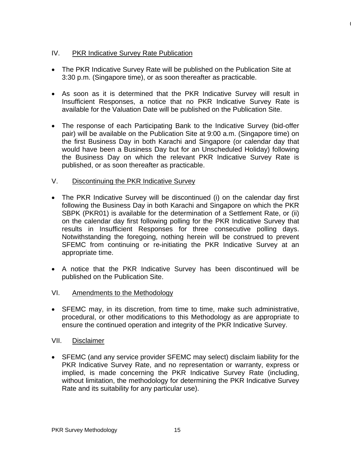# IV. PKR Indicative Survey Rate Publication

• The PKR Indicative Survey Rate will be published on the Publication Site at 3:30 p.m. (Singapore time), or as soon thereafter as practicable.

 $\mathbf$ 

- As soon as it is determined that the PKR Indicative Survey will result in Insufficient Responses, a notice that no PKR Indicative Survey Rate is available for the Valuation Date will be published on the Publication Site.
- The response of each Participating Bank to the Indicative Survey (bid-offer pair) will be available on the Publication Site at 9:00 a.m. (Singapore time) on the first Business Day in both Karachi and Singapore (or calendar day that would have been a Business Day but for an Unscheduled Holiday) following the Business Day on which the relevant PKR Indicative Survey Rate is published, or as soon thereafter as practicable.

### V. Discontinuing the PKR Indicative Survey

- The PKR Indicative Survey will be discontinued (i) on the calendar day first following the Business Day in both Karachi and Singapore on which the PKR SBPK (PKR01) is available for the determination of a Settlement Rate, or (ii) on the calendar day first following polling for the PKR Indicative Survey that results in Insufficient Responses for three consecutive polling days. Notwithstanding the foregoing, nothing herein will be construed to prevent SFEMC from continuing or re-initiating the PKR Indicative Survey at an appropriate time.
- A notice that the PKR Indicative Survey has been discontinued will be published on the Publication Site.

# VI. Amendments to the Methodology

• SFEMC may, in its discretion, from time to time, make such administrative, procedural, or other modifications to this Methodology as are appropriate to ensure the continued operation and integrity of the PKR Indicative Survey.

#### VII. Disclaimer

• SFEMC (and any service provider SFEMC may select) disclaim liability for the PKR Indicative Survey Rate, and no representation or warranty, express or implied, is made concerning the PKR Indicative Survey Rate (including, without limitation, the methodology for determining the PKR Indicative Survey Rate and its suitability for any particular use).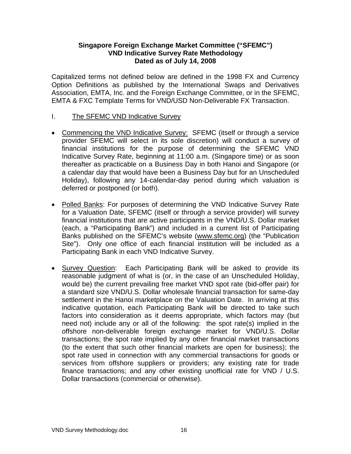#### **Singapore Foreign Exchange Market Committee ("SFEMC") VND Indicative Survey Rate Methodology Dated as of July 14, 2008**

Capitalized terms not defined below are defined in the 1998 FX and Currency Option Definitions as published by the International Swaps and Derivatives Association, EMTA, Inc. and the Foreign Exchange Committee, or in the SFEMC, EMTA & FXC Template Terms for VND/USD Non-Deliverable FX Transaction.

- I. The SFEMC VND Indicative Survey
- Commencing the VND Indicative Survey: SFEMC (itself or through a service provider SFEMC will select in its sole discretion) will conduct a survey of financial institutions for the purpose of determining the SFEMC VND Indicative Survey Rate, beginning at 11:00 a.m. (Singapore time) or as soon thereafter as practicable on a Business Day in both Hanoi and Singapore (or a calendar day that would have been a Business Day but for an Unscheduled Holiday), following any 14-calendar-day period during which valuation is deferred or postponed (or both).
- Polled Banks: For purposes of determining the VND Indicative Survey Rate for a Valuation Date, SFEMC (itself or through a service provider) will survey financial institutions that are active participants in the VND/U.S. Dollar market (each, a "Participating Bank") and included in a current list of Participating Banks published on the SFEMC's website ([www.sfemc.org](http://www.sfemc.org/)) (the "Publication Site"). Only one office of each financial institution will be included as a Participating Bank in each VND Indicative Survey.
- Survey Question: Each Participating Bank will be asked to provide its reasonable judgment of what is (or, in the case of an Unscheduled Holiday, would be) the current prevailing free market VND spot rate (bid-offer pair) for a standard size VND/U.S. Dollar wholesale financial transaction for same-day settlement in the Hanoi marketplace on the Valuation Date. In arriving at this indicative quotation, each Participating Bank will be directed to take such factors into consideration as it deems appropriate, which factors may (but need not) include any or all of the following: the spot rate(s) implied in the offshore non-deliverable foreign exchange market for VND/U.S. Dollar transactions; the spot rate implied by any other financial market transactions (to the extent that such other financial markets are open for business); the spot rate used in connection with any commercial transactions for goods or services from offshore suppliers or providers; any existing rate for trade finance transactions; and any other existing unofficial rate for VND / U.S. Dollar transactions (commercial or otherwise).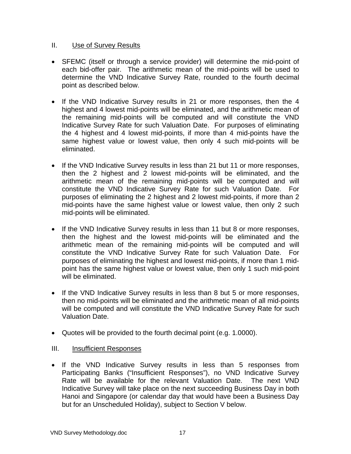#### II. Use of Survey Results

- SFEMC (itself or through a service provider) will determine the mid-point of each bid-offer pair. The arithmetic mean of the mid-points will be used to determine the VND Indicative Survey Rate, rounded to the fourth decimal point as described below.
- If the VND Indicative Survey results in 21 or more responses, then the 4 highest and 4 lowest mid-points will be eliminated, and the arithmetic mean of the remaining mid-points will be computed and will constitute the VND Indicative Survey Rate for such Valuation Date. For purposes of eliminating the 4 highest and 4 lowest mid-points, if more than 4 mid-points have the same highest value or lowest value, then only 4 such mid-points will be eliminated.
- If the VND Indicative Survey results in less than 21 but 11 or more responses, then the 2 highest and 2 lowest mid-points will be eliminated, and the arithmetic mean of the remaining mid-points will be computed and will constitute the VND Indicative Survey Rate for such Valuation Date. For purposes of eliminating the 2 highest and 2 lowest mid-points, if more than 2 mid-points have the same highest value or lowest value, then only 2 such mid-points will be eliminated.
- If the VND Indicative Survey results in less than 11 but 8 or more responses, then the highest and the lowest mid-points will be eliminated and the arithmetic mean of the remaining mid-points will be computed and will constitute the VND Indicative Survey Rate for such Valuation Date. For purposes of eliminating the highest and lowest mid-points, if more than 1 midpoint has the same highest value or lowest value, then only 1 such mid-point will be eliminated.
- If the VND Indicative Survey results in less than 8 but 5 or more responses, then no mid-points will be eliminated and the arithmetic mean of all mid-points will be computed and will constitute the VND Indicative Survey Rate for such Valuation Date.
- Quotes will be provided to the fourth decimal point (e.g. 1.0000).

# III. Insufficient Responses

• If the VND Indicative Survey results in less than 5 responses from Participating Banks ("Insufficient Responses"), no VND Indicative Survey Rate will be available for the relevant Valuation Date. The next VND Indicative Survey will take place on the next succeeding Business Day in both Hanoi and Singapore (or calendar day that would have been a Business Day but for an Unscheduled Holiday), subject to Section V below.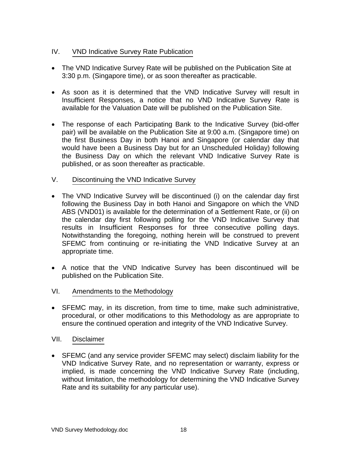# IV. VND Indicative Survey Rate Publication

- The VND Indicative Survey Rate will be published on the Publication Site at 3:30 p.m. (Singapore time), or as soon thereafter as practicable.
- As soon as it is determined that the VND Indicative Survey will result in Insufficient Responses, a notice that no VND Indicative Survey Rate is available for the Valuation Date will be published on the Publication Site.
- The response of each Participating Bank to the Indicative Survey (bid-offer pair) will be available on the Publication Site at 9:00 a.m. (Singapore time) on the first Business Day in both Hanoi and Singapore (or calendar day that would have been a Business Day but for an Unscheduled Holiday) following the Business Day on which the relevant VND Indicative Survey Rate is published, or as soon thereafter as practicable.

# V. Discontinuing the VND Indicative Survey

- The VND Indicative Survey will be discontinued (i) on the calendar day first following the Business Day in both Hanoi and Singapore on which the VND ABS (VND01) is available for the determination of a Settlement Rate, or (ii) on the calendar day first following polling for the VND Indicative Survey that results in Insufficient Responses for three consecutive polling days. Notwithstanding the foregoing, nothing herein will be construed to prevent SFEMC from continuing or re-initiating the VND Indicative Survey at an appropriate time.
- A notice that the VND Indicative Survey has been discontinued will be published on the Publication Site.

# VI. Amendments to the Methodology

• SFEMC may, in its discretion, from time to time, make such administrative, procedural, or other modifications to this Methodology as are appropriate to ensure the continued operation and integrity of the VND Indicative Survey.

# VII. Disclaimer

• SFEMC (and any service provider SFEMC may select) disclaim liability for the VND Indicative Survey Rate, and no representation or warranty, express or implied, is made concerning the VND Indicative Survey Rate (including, without limitation, the methodology for determining the VND Indicative Survey Rate and its suitability for any particular use).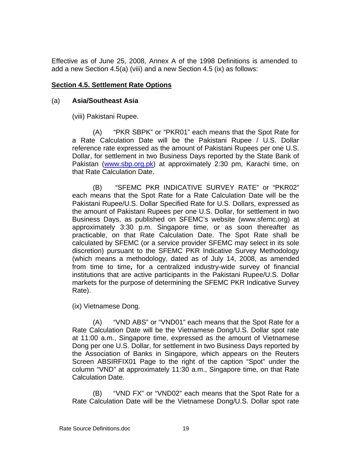Effective as of June 25, 2008, Annex A of the 1998 Definitions is amended to add a new Section 4.5(a) (viii) and a new Section 4.5 (ix) as follows:

#### **Section 4.5. Settlement Rate Options**

#### (a) **Asia/Southeast Asia**

(viii) Pakistani Rupee.

(A) "PKR SBPK" or "PKR01" each means that the Spot Rate for a Rate Calculation Date will be the Pakistani Rupee / U.S. Dollar reference rate expressed as the amount of Pakistani Rupees per one U.S. Dollar, for settlement in two Business Days reported by the State Bank of Pakistan [\(www.sbp.org.pk](http://www.sbp.org.pk/)) at approximately 2:30 pm, Karachi time, on that Rate Calculation Date.

(B) "SFEMC PKR INDICATIVE SURVEY RATE" or "PKR02" each means that the Spot Rate for a Rate Calculation Date will be the Pakistani Rupee/U.S. Dollar Specified Rate for U.S. Dollars, expressed as the amount of Pakistani Rupees per one U.S. Dollar, for settlement in two Business Days, as published on SFEMC's website (www.sfemc.org) at approximately 3:30 p.m. Singapore time, or as soon thereafter as practicable, on that Rate Calculation Date. The Spot Rate shall be calculated by SFEMC (or a service provider SFEMC may select in its sole discretion) pursuant to the SFEMC PKR Indicative Survey Methodology (which means a methodology, dated as of July 14, 2008, as amended from time to time**,** for a centralized industry-wide survey of financial institutions that are active participants in the Pakistani Rupee/U.S. Dollar markets for the purpose of determining the SFEMC PKR Indicative Survey Rate).

(ix) Vietnamese Dong.

(A) "VND ABS" or "VND01" each means that the Spot Rate for a Rate Calculation Date will be the Vietnamese Dong/U.S. Dollar spot rate at 11:00 a.m., Singapore time, expressed as the amount of Vietnamese Dong per one U.S. Dollar, for settlement in two Business Days reported by the Association of Banks in Singapore, which appears on the Reuters Screen ABSIRFIX01 Page to the right of the caption "Spot" under the column "VND" at approximately 11:30 a.m., Singapore time, on that Rate Calculation Date.

(B) "VND FX" or "VND02" each means that the Spot Rate for a Rate Calculation Date will be the Vietnamese Dong/U.S. Dollar spot rate